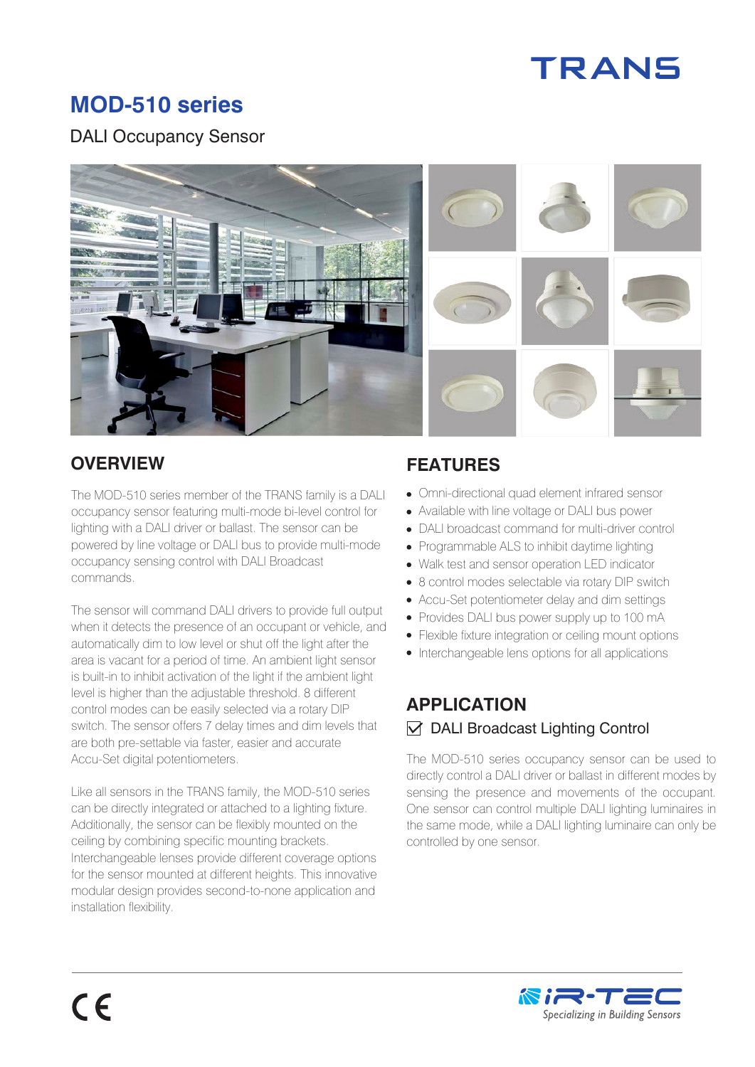

# **MOD-510 series**

#### DALI Occupancy Sensor



The MOD-510 series member of the TRANS family is a DALI occupancy sensor featuring multi-mode bi-level control for lighting with a DALI driver or ballast. The sensor can be powered by line voltage or DALI bus to provide multi-mode occupancy sensing control with DALI Broadcast commands.

The sensor will command DALI drivers to provide full output when it detects the presence of an occupant or vehicle, and automatically dim to low level or shut off the light after the area is vacant for a period of time. An ambient light sensor is built-in to inhibit activation of the light if the ambient light level is higher than the adjustable threshold. 8 different control modes can be easily selected via a rotary DIP switch. The sensor offers 7 delay times and dim levels that are both pre-settable via faster, easier and accurate Accu-Set digital potentiometers.

Like all sensors in the TRANS family, the MOD-510 series can be directly integrated or attached to a lighting fixture. Additionally, the sensor can be flexibly mounted on the ceiling by combining specific mounting brackets. Interchangeable lenses provide different coverage options for the sensor mounted at different heights. This innovative modular design provides second-to-none application and installation flexibility.

## **OVERVIEW FEATURES**

- Omni-directional quad element infrared sensor
- Available with line voltage or DALI bus power
- DALI broadcast command for multi-driver control
- Programmable ALS to inhibit daytime lighting
- Walk test and sensor operation LED indicator
- 8 control modes selectable via rotary DIP switch
- Accu-Set potentiometer delay and dim settings
- Provides DALI bus power supply up to 100 mA
- Flexible fixture integration or ceiling mount options
- Interchangeable lens options for all applications

## **APPLICATION**   $\triangledown$  DALI Broadcast Lighting Control

The MOD-510 series occupancy sensor can be used to directly control a DALI driver or ballast in different modes by sensing the presence and movements of the occupant. One sensor can control multiple DALI lighting luminaires in the same mode, while a DALI lighting luminaire can only be controlled by one sensor.